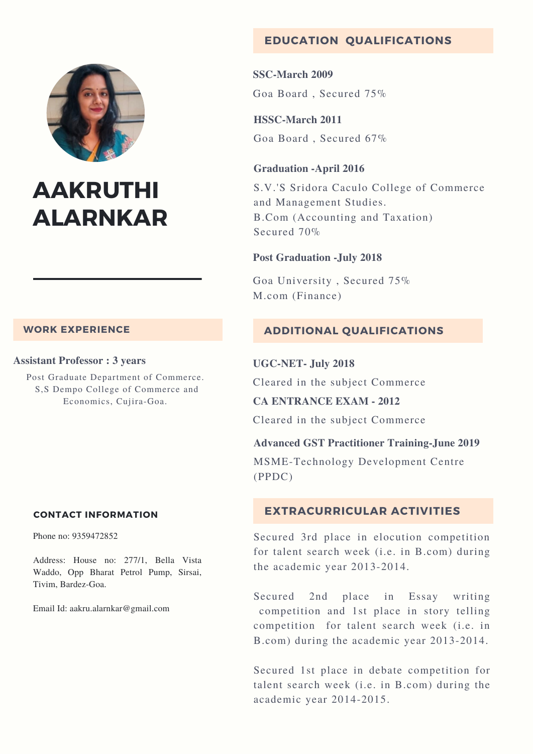

# **AAKRUTHI ALARNKAR**

# **WORK EXPERIENCE**

#### **Assistant Professor : 3 years**

Post Graduate Department of Commerce. S,S Dempo College of Commerce and Economics, Cujira-Goa.

# **CONTACT INFORMATION**

Phone no: 9359472852

Address: House no: 277/1, Bella Vista Waddo, Opp Bharat Petrol Pump, Sirsai, Tivim, Bardez-Goa.

Email Id: aakru.alarnkar@gmail.com

# **EDUCATION QUALIFICATIONS**

**SSC-March 2009** Goa Board , Secured 75%

**HSSC-March 2011** Goa Board , Secured 67%

#### **Graduation -April 2016**

S.V.'S Sridora Caculo College of Commerce and Management Studies. B.Com (Accounting and Taxation) Secured 70%

#### **Post Graduation -July 2018**

Goa University , Secured 75% M.com (Finance)

# **ADDITIONAL QUALIFICATIONS**

#### **UGC-NET- July 2018**

Cleared in the subject Commerce

**CA ENTRANCE EXAM - 2012**

Cleared in the subject Commerce

# **Advanced GST Practitioner Training-June 2019**

MSME-Technology Development Centre (PPDC)

# **EXTRACURRICULAR ACTIVITIES**

Secured 3rd place in elocution competition for talent search week (i.e. in B.com) during the academic year 2013-2014.

Secured 2nd place in Essay writing competition and 1st place in story telling competition for talent search week (i.e. in B.com) during the academic year 2013-2014.

Secured 1st place in debate competition for talent search week (i.e. in B.com) during the academic year 2014-2015.